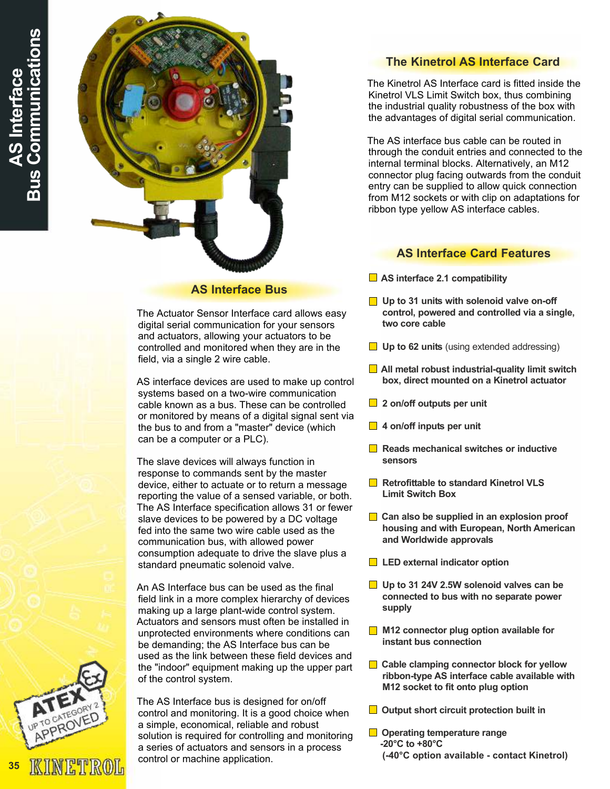

### AS Interface Bus

The Actuator Sensor Interface card allows easy digital serial communication for your sensors and actuators, allowing your actuators to be controlled and monitored when they are in the field, via a single 2 wire cable.

AS interface devices are used to make up control systems based on a two-wire communication cable known as a bus. These can be controlled or monitored by means of a digital signal sent via the bus to and from a "master" device (which can be a computer or a PLC).

The slave devices will always function in response to commands sent by the master device, either to actuate or to return a message reporting the value of a sensed variable, or both. The AS Interface specification allows 31 or fewer slave devices to be powered by a DC voltage fed into the same two wire cable used as the communication bus, with allowed power consumption adequate to drive the slave plus a standard pneumatic solenoid valve.

An AS Interface bus can be used as the final field link in a more complex hierarchy of devices making up a large plant-wide control system. Actuators and sensors must often be installed in unprotected environments where conditions can be demanding; the AS Interface bus can be used as the link between these field devices and the "indoor" equipment making up the upper part of the control system.

The AS Interface bus is designed for on/off control and monitoring. It is a good choice when a simple, economical, reliable and robust solution is required for controlling and monitoring a series of actuators and sensors in a process control or machine application.

## The Kinetrol AS Interface Card

The Kinetrol AS Interface card is fitted inside the Kinetrol VLS Limit Switch box, thus combining the industrial quality robustness of the box with the advantages of digital serial communication.

The AS interface bus cable can be routed in through the conduit entries and connected to the internal terminal blocks. Alternatively, an M12 connector plug facing outwards from the conduit entry can be supplied to allow quick connection from M12 sockets or with clip on adaptations for ribbon type yellow AS interface cables.

### AS Interface Card Features

- $\Box$  AS interface 2.1 compatibility
- $\Box$  Up to 31 units with solenoid valve on-off control, powered and controlled via a single, two core cable
- $\Box$  Up to 62 units (using extended addressing)
- $\Box$  All metal robust industrial-quality limit switch box, direct mounted on a Kinetrol actuator
- 2 on/off outputs per unit
- $\Box$  4 on/off inputs per unit
- $\blacksquare$  Reads mechanical switches or inductive sensors
- Retrofittable to standard Kinetrol VLS Limit Switch Box
- $\Box$  Can also be supplied in an explosion proof housing and with European, North American and Worldwide approvals
- **LED** external indicator option
- $\Box$  Up to 31 24V 2.5W solenoid valves can be connected to bus with no separate power supply
- M12 connector plug option available for instant bus connection
- $\Box$  Cable clamping connector block for yellow ribbon-type AS interface cable available with M12 socket to fit onto plug option
- $\Box$  Output short circuit protection built in
- **□** Operating temperature range -20°C to +80°C (-40°C option available - contact Kinetrol)